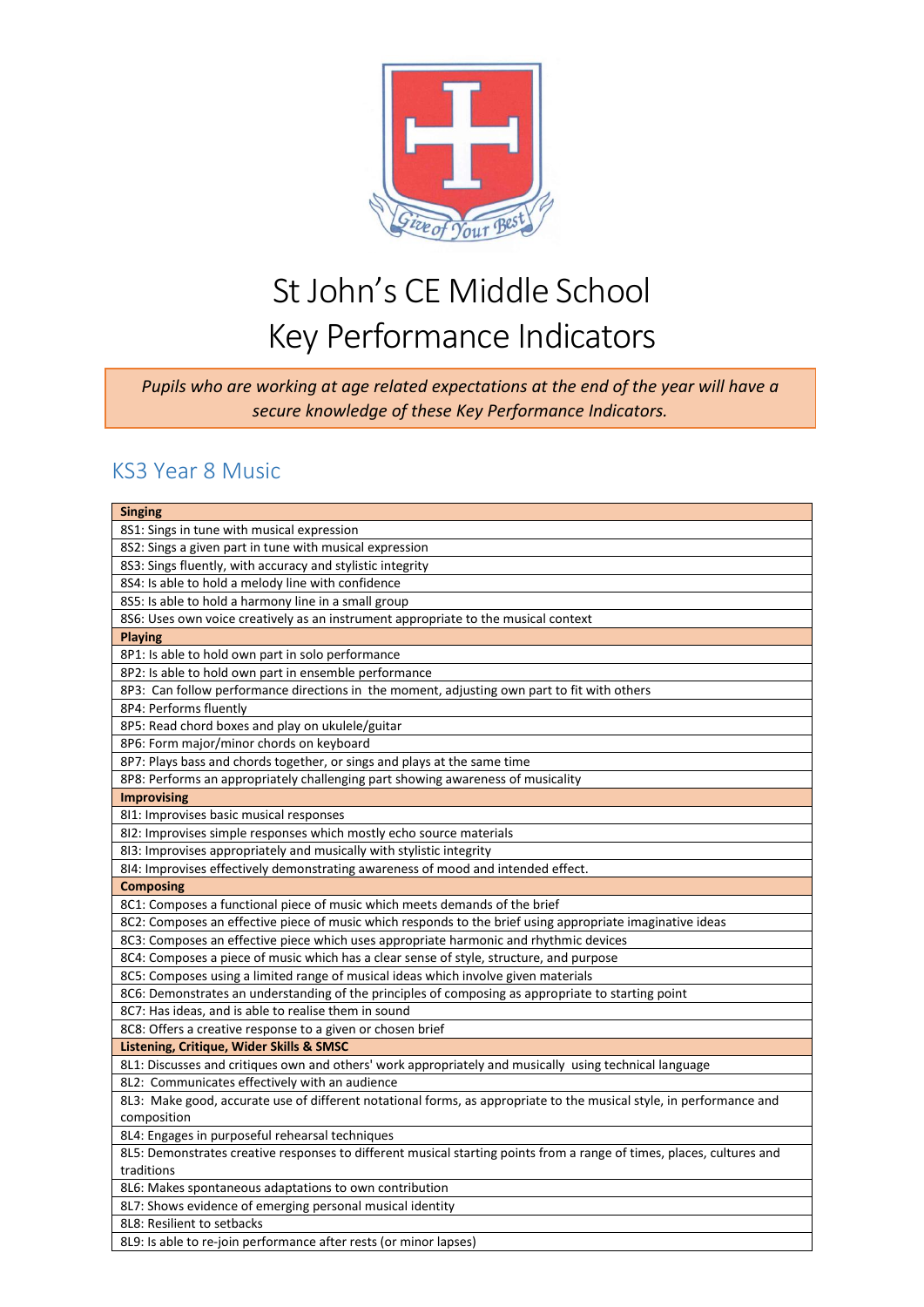

*Pupils who are working at age related expectations at the end of the year will have a secure knowledge of these Key Performance Indicators.*

#### KS3 Year 8 Music

| <b>Singing</b>                                                                                                        |
|-----------------------------------------------------------------------------------------------------------------------|
| 8S1: Sings in tune with musical expression                                                                            |
| 8S2: Sings a given part in tune with musical expression                                                               |
| 8S3: Sings fluently, with accuracy and stylistic integrity                                                            |
| 8S4: Is able to hold a melody line with confidence                                                                    |
| 8S5: Is able to hold a harmony line in a small group                                                                  |
| 8S6: Uses own voice creatively as an instrument appropriate to the musical context                                    |
| <b>Playing</b>                                                                                                        |
| 8P1: Is able to hold own part in solo performance                                                                     |
| 8P2: Is able to hold own part in ensemble performance                                                                 |
| 8P3: Can follow performance directions in the moment, adjusting own part to fit with others                           |
| 8P4: Performs fluently                                                                                                |
| 8P5: Read chord boxes and play on ukulele/guitar                                                                      |
| 8P6: Form major/minor chords on keyboard                                                                              |
| 8P7: Plays bass and chords together, or sings and plays at the same time                                              |
| 8P8: Performs an appropriately challenging part showing awareness of musicality                                       |
| <b>Improvising</b>                                                                                                    |
| 811: Improvises basic musical responses                                                                               |
| 812: Improvises simple responses which mostly echo source materials                                                   |
| 813: Improvises appropriately and musically with stylistic integrity                                                  |
| 814: Improvises effectively demonstrating awareness of mood and intended effect.                                      |
|                                                                                                                       |
| <b>Composing</b>                                                                                                      |
| 8C1: Composes a functional piece of music which meets demands of the brief                                            |
| 8C2: Composes an effective piece of music which responds to the brief using appropriate imaginative ideas             |
| 8C3: Composes an effective piece which uses appropriate harmonic and rhythmic devices                                 |
| 8C4: Composes a piece of music which has a clear sense of style, structure, and purpose                               |
| 8C5: Composes using a limited range of musical ideas which involve given materials                                    |
| 8C6: Demonstrates an understanding of the principles of composing as appropriate to starting point                    |
| 8C7: Has ideas, and is able to realise them in sound                                                                  |
| 8C8: Offers a creative response to a given or chosen brief                                                            |
| Listening, Critique, Wider Skills & SMSC                                                                              |
| 8L1: Discusses and critiques own and others' work appropriately and musically using technical language                |
| 8L2: Communicates effectively with an audience                                                                        |
| 8L3: Make good, accurate use of different notational forms, as appropriate to the musical style, in performance and   |
| composition                                                                                                           |
| 8L4: Engages in purposeful rehearsal techniques                                                                       |
| 8L5: Demonstrates creative responses to different musical starting points from a range of times, places, cultures and |
| traditions                                                                                                            |
| 8L6: Makes spontaneous adaptations to own contribution                                                                |
| 8L7: Shows evidence of emerging personal musical identity                                                             |
| 8L8: Resilient to setbacks<br>8L9: Is able to re-join performance after rests (or minor lapses)                       |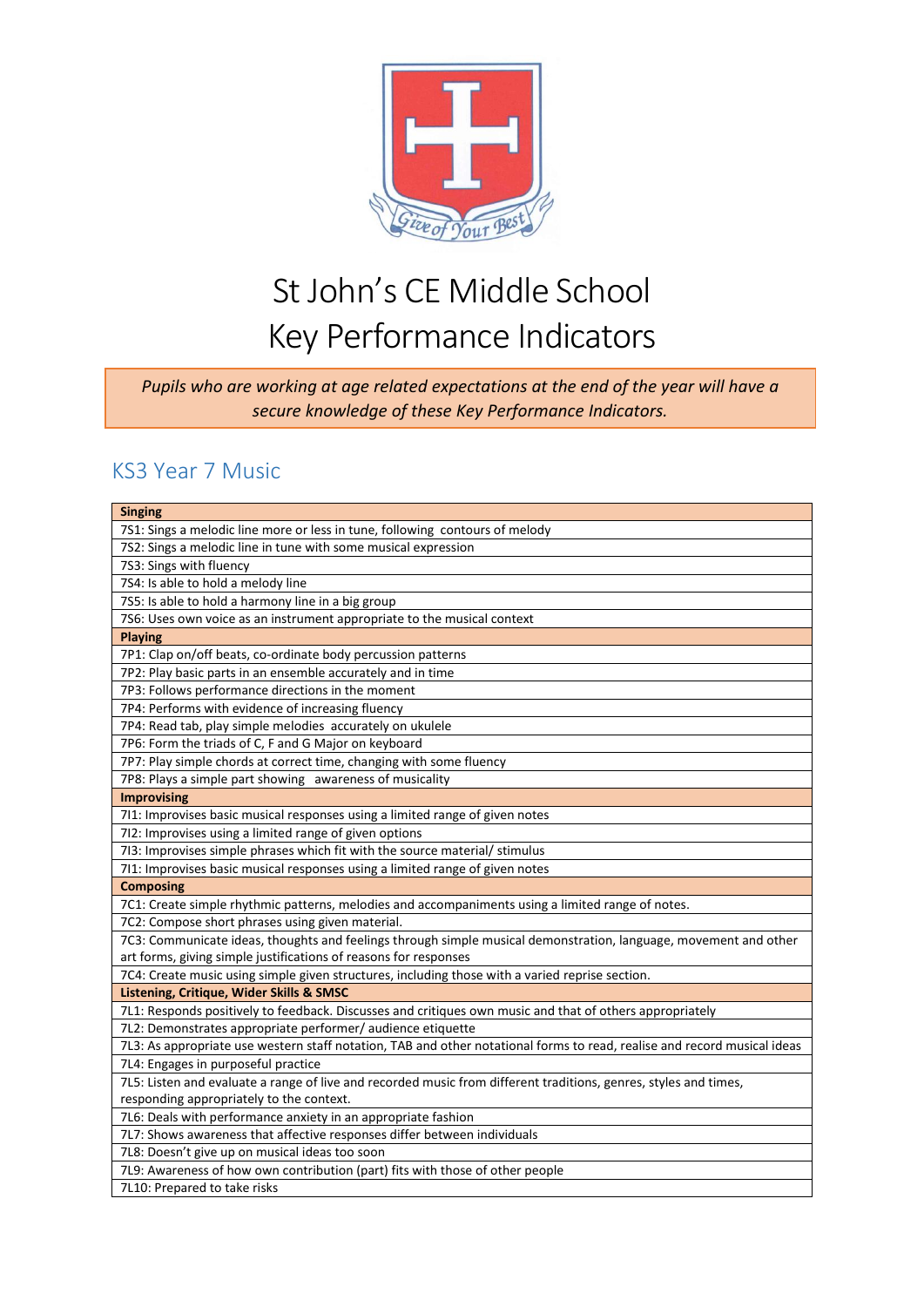

*Pupils who are working at age related expectations at the end of the year will have a secure knowledge of these Key Performance Indicators.*

### KS3 Year 7 Music

| <b>Singing</b>                                                                                                           |
|--------------------------------------------------------------------------------------------------------------------------|
| 7S1: Sings a melodic line more or less in tune, following contours of melody                                             |
| 7S2: Sings a melodic line in tune with some musical expression                                                           |
| 7S3: Sings with fluency                                                                                                  |
| 7S4: Is able to hold a melody line                                                                                       |
| 7S5: Is able to hold a harmony line in a big group                                                                       |
| 7S6: Uses own voice as an instrument appropriate to the musical context                                                  |
| <b>Playing</b>                                                                                                           |
| 7P1: Clap on/off beats, co-ordinate body percussion patterns                                                             |
| 7P2: Play basic parts in an ensemble accurately and in time                                                              |
| 7P3: Follows performance directions in the moment                                                                        |
| 7P4: Performs with evidence of increasing fluency                                                                        |
| 7P4: Read tab, play simple melodies accurately on ukulele                                                                |
| 7P6: Form the triads of C, F and G Major on keyboard                                                                     |
| 7P7: Play simple chords at correct time, changing with some fluency                                                      |
| 7P8: Plays a simple part showing awareness of musicality                                                                 |
| <b>Improvising</b>                                                                                                       |
| 711: Improvises basic musical responses using a limited range of given notes                                             |
| 712: Improvises using a limited range of given options                                                                   |
| 7I3: Improvises simple phrases which fit with the source material/ stimulus                                              |
| 711: Improvises basic musical responses using a limited range of given notes                                             |
| <b>Composing</b>                                                                                                         |
| 7C1: Create simple rhythmic patterns, melodies and accompaniments using a limited range of notes.                        |
| 7C2: Compose short phrases using given material.                                                                         |
| 7C3: Communicate ideas, thoughts and feelings through simple musical demonstration, language, movement and other         |
| art forms, giving simple justifications of reasons for responses                                                         |
| 7C4: Create music using simple given structures, including those with a varied reprise section.                          |
| Listening, Critique, Wider Skills & SMSC                                                                                 |
| 7L1: Responds positively to feedback. Discusses and critiques own music and that of others appropriately                 |
| 7L2: Demonstrates appropriate performer/ audience etiquette                                                              |
| 7L3: As appropriate use western staff notation, TAB and other notational forms to read, realise and record musical ideas |
| 7L4: Engages in purposeful practice                                                                                      |
| 7L5: Listen and evaluate a range of live and recorded music from different traditions, genres, styles and times,         |
| responding appropriately to the context.                                                                                 |
| 7L6: Deals with performance anxiety in an appropriate fashion                                                            |
| 7L7: Shows awareness that affective responses differ between individuals                                                 |
| 7L8: Doesn't give up on musical ideas too soon                                                                           |
| 7L9: Awareness of how own contribution (part) fits with those of other people                                            |
| 7L10: Prepared to take risks                                                                                             |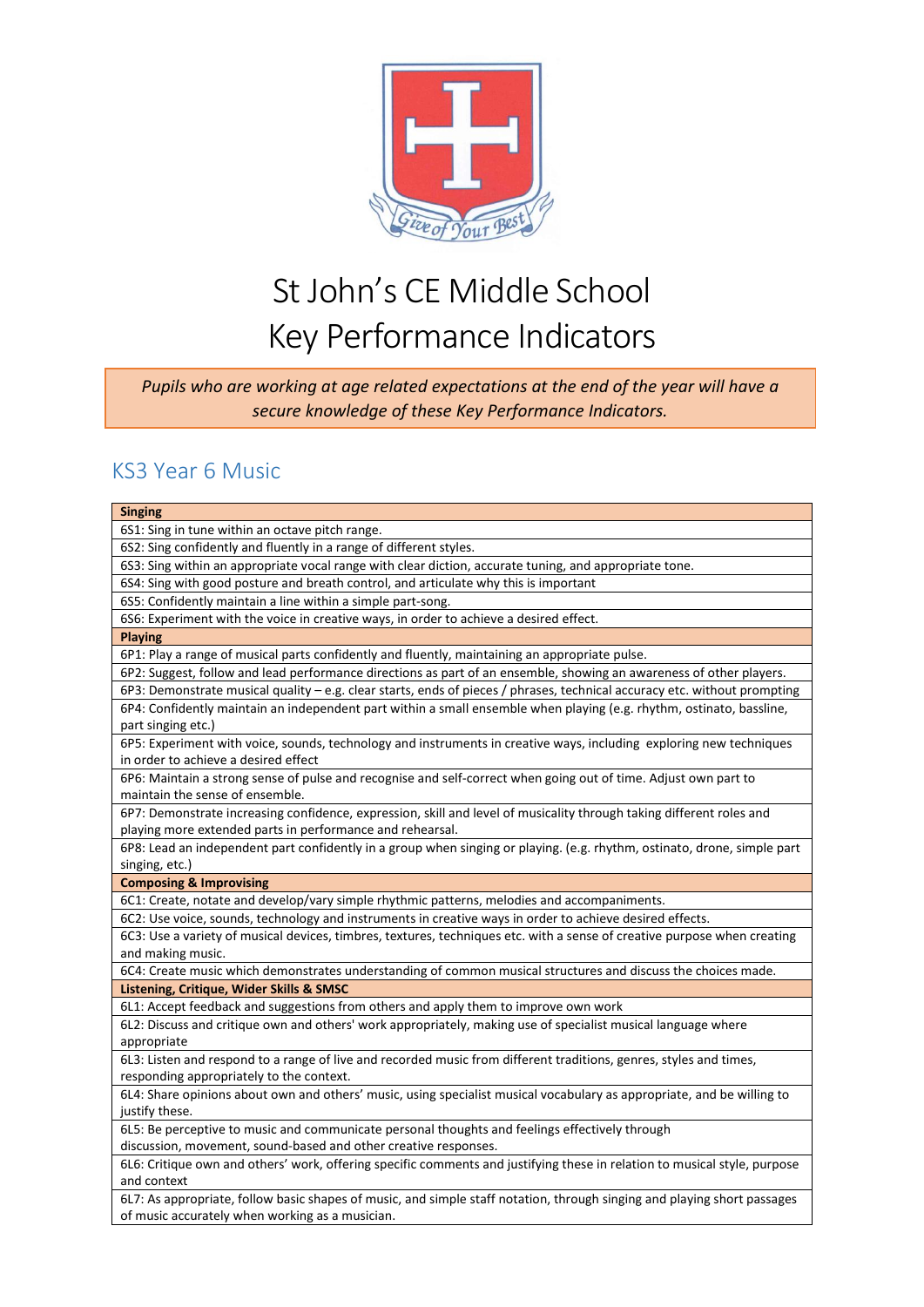

*Pupils who are working at age related expectations at the end of the year will have a secure knowledge of these Key Performance Indicators.*

#### KS3 Year 6 Music

| <b>Singing</b>                                                                                                                                                              |
|-----------------------------------------------------------------------------------------------------------------------------------------------------------------------------|
| 6S1: Sing in tune within an octave pitch range.                                                                                                                             |
| 6S2: Sing confidently and fluently in a range of different styles.                                                                                                          |
| 6S3: Sing within an appropriate vocal range with clear diction, accurate tuning, and appropriate tone.                                                                      |
| 6S4: Sing with good posture and breath control, and articulate why this is important                                                                                        |
| 6S5: Confidently maintain a line within a simple part-song.                                                                                                                 |
| 6S6: Experiment with the voice in creative ways, in order to achieve a desired effect.                                                                                      |
| <b>Playing</b>                                                                                                                                                              |
| 6P1: Play a range of musical parts confidently and fluently, maintaining an appropriate pulse.                                                                              |
| 6P2: Suggest, follow and lead performance directions as part of an ensemble, showing an awareness of other players.                                                         |
| 6P3: Demonstrate musical quality - e.g. clear starts, ends of pieces / phrases, technical accuracy etc. without prompting                                                   |
| 6P4: Confidently maintain an independent part within a small ensemble when playing (e.g. rhythm, ostinato, bassline,                                                        |
| part singing etc.)                                                                                                                                                          |
| 6P5: Experiment with voice, sounds, technology and instruments in creative ways, including exploring new techniques                                                         |
| in order to achieve a desired effect                                                                                                                                        |
| 6P6: Maintain a strong sense of pulse and recognise and self-correct when going out of time. Adjust own part to                                                             |
| maintain the sense of ensemble.                                                                                                                                             |
| 6P7: Demonstrate increasing confidence, expression, skill and level of musicality through taking different roles and                                                        |
| playing more extended parts in performance and rehearsal.                                                                                                                   |
| 6P8: Lead an independent part confidently in a group when singing or playing. (e.g. rhythm, ostinato, drone, simple part                                                    |
| singing, etc.)                                                                                                                                                              |
| <b>Composing &amp; Improvising</b>                                                                                                                                          |
| 6C1: Create, notate and develop/vary simple rhythmic patterns, melodies and accompaniments.                                                                                 |
| 6C2: Use voice, sounds, technology and instruments in creative ways in order to achieve desired effects.                                                                    |
| 6C3: Use a variety of musical devices, timbres, textures, techniques etc. with a sense of creative purpose when creating                                                    |
| and making music.                                                                                                                                                           |
| 6C4: Create music which demonstrates understanding of common musical structures and discuss the choices made.                                                               |
| Listening, Critique, Wider Skills & SMSC                                                                                                                                    |
| 6L1: Accept feedback and suggestions from others and apply them to improve own work                                                                                         |
| 6L2: Discuss and critique own and others' work appropriately, making use of specialist musical language where                                                               |
| appropriate                                                                                                                                                                 |
| 6L3: Listen and respond to a range of live and recorded music from different traditions, genres, styles and times,                                                          |
| responding appropriately to the context.                                                                                                                                    |
| 6L4: Share opinions about own and others' music, using specialist musical vocabulary as appropriate, and be willing to                                                      |
| justify these.                                                                                                                                                              |
| 6L5: Be perceptive to music and communicate personal thoughts and feelings effectively through                                                                              |
| discussion, movement, sound-based and other creative responses.                                                                                                             |
| 6L6: Critique own and others' work, offering specific comments and justifying these in relation to musical style, purpose                                                   |
| and context                                                                                                                                                                 |
| 6L7: As appropriate, follow basic shapes of music, and simple staff notation, through singing and playing short passages<br>of music accurately when working as a musician. |
|                                                                                                                                                                             |